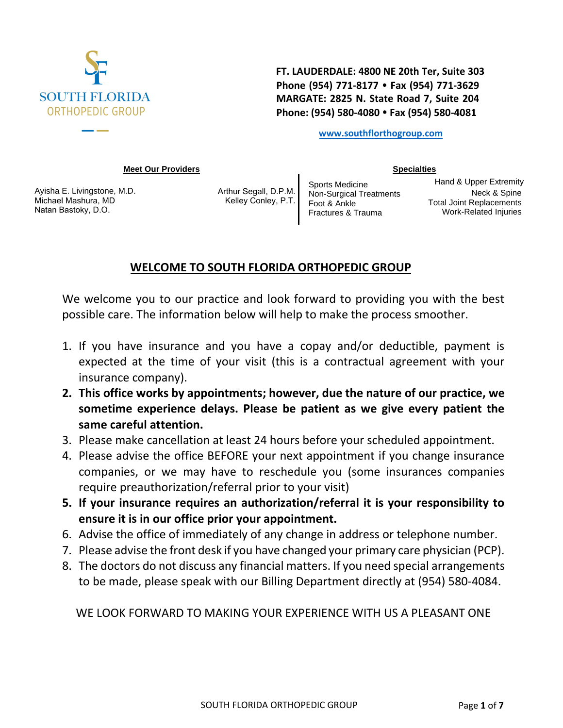

**FT. LAUDERDALE: 4800 NE 20th Ter, Suite 303 Phone (954) 771-8177 Fax (954) 771-3629 MARGATE: 2825 N. State Road 7, Suite 204 Phone: (954) 580-4080 Fax (954) 580-4081** 

**[www.southflorthogroup](http://www.orthopedixmd.com/).com**

**[Specialties](http://www.orthopedixmd.com/Specialties)**

#### **[Meet Our Providers](http://www.orthopedixmd.com/MeetOurProviders)**

[Ayisha E. Livingstone, M](http://www.orthopedixmd.com/MeetOurProviders/PaulIMeliMDFACSFAAOS).D. [Michael Mashura](http://www.orthopedixmd.com/MeetOurProviders/MinnSaingMD), MD [Natan Bastoky, D.O.](http://www.orthopedixmd.com/MeetOurProviders/MLeeEbersbergerJrMD)

[Arthur Segall, D.P.M](http://www.orthopedixmd.com/MeetOurProviders/MarkMoranMDFRCS). [Kelley Conley, P.T](http://www.orthopedixmd.com/MeetOurProviders/GayanPoovendranMD). [Sports Medicine](http://www.orthopedixmd.com/Specialties/SportsMedicine) [Non-Surgical Treatments](http://www.orthopedixmd.com/Specialties/NonSurgicalTreatments) [Foot & Ankle](http://www.orthopedixmd.com/Specialties/FootAnkle) [Fractures & Trauma](http://www.orthopedixmd.com/Specialties/FracturesTrauma)

[Hand & Upper Extremity](http://www.orthopedixmd.com/Specialties/HandUpperExtremity) [Nec](http://www.orthopedixmd.com/Specialties/NeckSpine)[k & Spine](http://www.orthopedixmd.com/Specialties/Scoliosis) [Total Joint Replacements](http://www.orthopedixmd.com/Specialties/TotalJointReplacements) [Work-Related Injuries](http://www.orthopedixmd.com/Specialties/WorkRelatedInjuries) 

# **WELCOME TO SOUTH FLORIDA ORTHOPEDIC GROUP**

We welcome you to our practice and look forward to providing you with the best possible care. The information below will help to make the process smoother.

- 1. If you have insurance and you have a copay and/or deductible, payment is expected at the time of your visit (this is a contractual agreement with your insurance company).
- **2. This office works by appointments; however, due the nature of our practice, we sometime experience delays. Please be patient as we give every patient the same careful attention.**
- 3. Please make cancellation at least 24 hours before your scheduled appointment.
- 4. Please advise the office BEFORE your next appointment if you change insurance companies, or we may have to reschedule you (some insurances companies require preauthorization/referral prior to your visit)
- **5. If your insurance requires an authorization/referral it is your responsibility to ensure it is in our office prior your appointment.**
- 6. Advise the office of immediately of any change in address or telephone number.
- 7. Please advise the front desk if you have changed your primary care physician (PCP).
- 8. The doctors do not discuss any financial matters. If you need special arrangements to be made, please speak with our Billing Department directly at (954) 580-4084.

WE LOOK FORWARD TO MAKING YOUR EXPERIENCE WITH US A PLEASANT ONE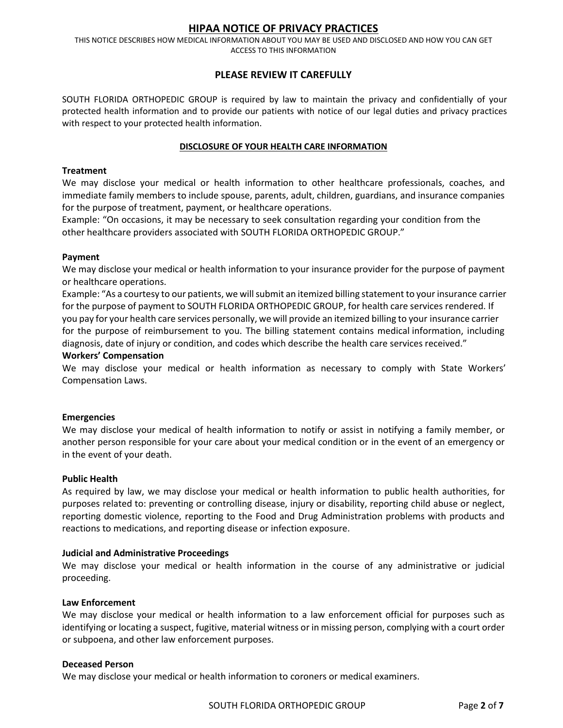### **HIPAA NOTICE OF PRIVACY PRACTICES**

THIS NOTICE DESCRIBES HOW MEDICAL INFORMATION ABOUT YOU MAY BE USED AND DISCLOSED AND HOW YOU CAN GET ACCESS TO THIS INFORMATION

### **PLEASE REVIEW IT CAREFULLY**

SOUTH FLORIDA ORTHOPEDIC GROUP is required by law to maintain the privacy and confidentially of your protected health information and to provide our patients with notice of our legal duties and privacy practices with respect to your protected health information.

#### **DISCLOSURE OF YOUR HEALTH CARE INFORMATION**

#### **Treatment**

We may disclose your medical or health information to other healthcare professionals, coaches, and immediate family members to include spouse, parents, adult, children, guardians, and insurance companies for the purpose of treatment, payment, or healthcare operations.

Example: "On occasions, it may be necessary to seek consultation regarding your condition from the other healthcare providers associated with SOUTH FLORIDA ORTHOPEDIC GROUP."

#### **Payment**

We may disclose your medical or health information to your insurance provider for the purpose of payment or healthcare operations.

Example: "As a courtesy to our patients, we will submit an itemized billing statement to your insurance carrier for the purpose of payment to SOUTH FLORIDA ORTHOPEDIC GROUP, for health care services rendered. If you pay for your health care services personally, we will provide an itemized billing to your insurance carrier for the purpose of reimbursement to you. The billing statement contains medical information, including diagnosis, date of injury or condition, and codes which describe the health care services received."

#### **Workers' Compensation**

We may disclose your medical or health information as necessary to comply with State Workers' Compensation Laws.

#### **Emergencies**

We may disclose your medical of health information to notify or assist in notifying a family member, or another person responsible for your care about your medical condition or in the event of an emergency or in the event of your death.

#### **Public Health**

As required by law, we may disclose your medical or health information to public health authorities, for purposes related to: preventing or controlling disease, injury or disability, reporting child abuse or neglect, reporting domestic violence, reporting to the Food and Drug Administration problems with products and reactions to medications, and reporting disease or infection exposure.

#### **Judicial and Administrative Proceedings**

We may disclose your medical or health information in the course of any administrative or judicial proceeding.

#### **Law Enforcement**

We may disclose your medical or health information to a law enforcement official for purposes such as identifying or locating a suspect, fugitive, material witness or in missing person, complying with a court order or subpoena, and other law enforcement purposes.

#### **Deceased Person**

We may disclose your medical or health information to coroners or medical examiners.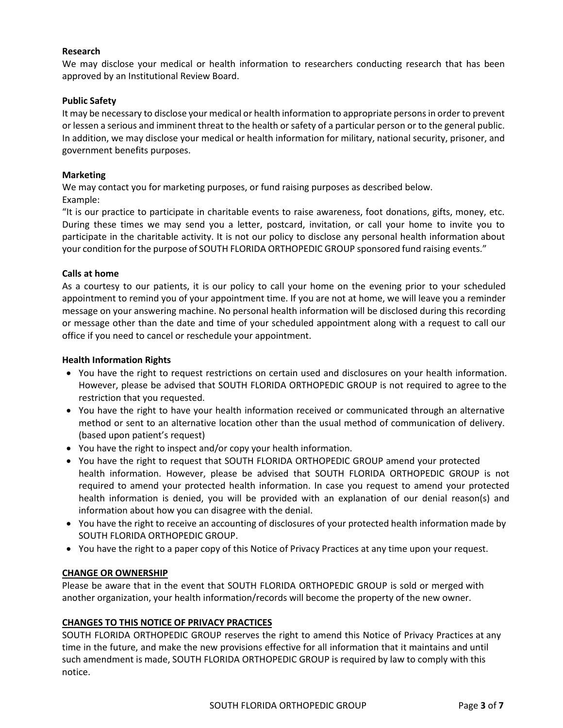#### **Research**

We may disclose your medical or health information to researchers conducting research that has been approved by an Institutional Review Board.

#### **Public Safety**

It may be necessary to disclose your medical or health information to appropriate persons in order to prevent or lessen a serious and imminent threat to the health or safety of a particular person or to the general public. In addition, we may disclose your medical or health information for military, national security, prisoner, and government benefits purposes.

#### **Marketing**

We may contact you for marketing purposes, or fund raising purposes as described below. Example:

"It is our practice to participate in charitable events to raise awareness, foot donations, gifts, money, etc. During these times we may send you a letter, postcard, invitation, or call your home to invite you to participate in the charitable activity. It is not our policy to disclose any personal health information about your condition for the purpose of SOUTH FLORIDA ORTHOPEDIC GROUP sponsored fund raising events."

#### **Calls at home**

As a courtesy to our patients, it is our policy to call your home on the evening prior to your scheduled appointment to remind you of your appointment time. If you are not at home, we will leave you a reminder message on your answering machine. No personal health information will be disclosed during this recording or message other than the date and time of your scheduled appointment along with a request to call our office if you need to cancel or reschedule your appointment.

#### **Health Information Rights**

- You have the right to request restrictions on certain used and disclosures on your health information. However, please be advised that SOUTH FLORIDA ORTHOPEDIC GROUP is not required to agree to the restriction that you requested.
- You have the right to have your health information received or communicated through an alternative method or sent to an alternative location other than the usual method of communication of delivery. (based upon patient's request)
- You have the right to inspect and/or copy your health information.
- You have the right to request that SOUTH FLORIDA ORTHOPEDIC GROUP amend your protected health information. However, please be advised that SOUTH FLORIDA ORTHOPEDIC GROUP is not required to amend your protected health information. In case you request to amend your protected health information is denied, you will be provided with an explanation of our denial reason(s) and information about how you can disagree with the denial.
- You have the right to receive an accounting of disclosures of your protected health information made by SOUTH FLORIDA ORTHOPEDIC GROUP.
- You have the right to a paper copy of this Notice of Privacy Practices at any time upon your request.

#### **CHANGE OR OWNERSHIP**

Please be aware that in the event that SOUTH FLORIDA ORTHOPEDIC GROUP is sold or merged with another organization, your health information/records will become the property of the new owner.

#### **CHANGES TO THIS NOTICE OF PRIVACY PRACTICES**

SOUTH FLORIDA ORTHOPEDIC GROUP reserves the right to amend this Notice of Privacy Practices at any time in the future, and make the new provisions effective for all information that it maintains and until such amendment is made, SOUTH FLORIDA ORTHOPEDIC GROUP is required by law to comply with this notice.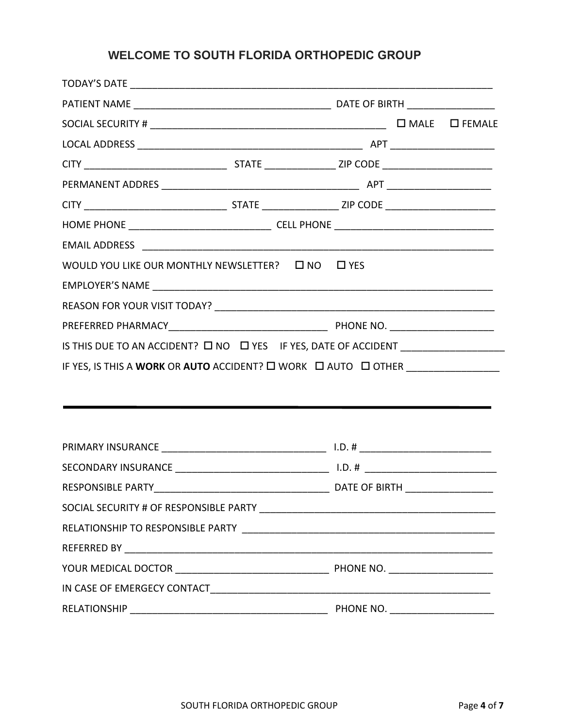## **WELCOME TO SOUTH FLORIDA ORTHOPEDIC GROUP**

|              | WOULD YOU LIKE OUR MONTHLY NEWSLETTER?  L NO  L YES                              |  |  |  |
|--------------|----------------------------------------------------------------------------------|--|--|--|
|              |                                                                                  |  |  |  |
|              |                                                                                  |  |  |  |
|              |                                                                                  |  |  |  |
|              |                                                                                  |  |  |  |
|              | IF YES, IS THIS A WORK OR AUTO ACCIDENT? O WORK O AUTO O OTHER _________________ |  |  |  |
|              |                                                                                  |  |  |  |
|              |                                                                                  |  |  |  |
|              |                                                                                  |  |  |  |
|              |                                                                                  |  |  |  |
|              |                                                                                  |  |  |  |
|              |                                                                                  |  |  |  |
|              |                                                                                  |  |  |  |
|              |                                                                                  |  |  |  |
|              |                                                                                  |  |  |  |
|              |                                                                                  |  |  |  |
|              |                                                                                  |  |  |  |
| RELATIONSHIP |                                                                                  |  |  |  |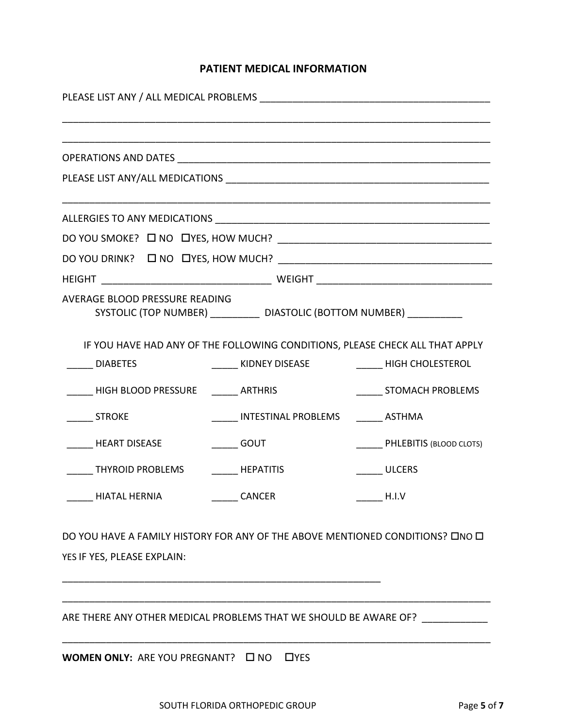# **PATIENT MEDICAL INFORMATION**

| AVERAGE BLOOD PRESSURE READING                                                                               | SYSTOLIC (TOP NUMBER) ___________ DIASTOLIC (BOTTOM NUMBER) ___________                                |                                |  |  |  |  |
|--------------------------------------------------------------------------------------------------------------|--------------------------------------------------------------------------------------------------------|--------------------------------|--|--|--|--|
| <b>DIABETES</b>                                                                                              | IF YOU HAVE HAD ANY OF THE FOLLOWING CONDITIONS, PLEASE CHECK ALL THAT APPLY<br>_______ KIDNEY DISEASE | <b>HIGH CHOLESTEROL</b>        |  |  |  |  |
| HIGH BLOOD PRESSURE ARTHRIS                                                                                  |                                                                                                        | STOMACH PROBLEMS               |  |  |  |  |
| <b>STROKE</b>                                                                                                | INTESTINAL PROBLEMS ASTHMA                                                                             |                                |  |  |  |  |
| <b>HEART DISEASE</b>                                                                                         | <b>GOUT</b>                                                                                            | <b>PHLEBITIS (BLOOD CLOTS)</b> |  |  |  |  |
| THYROID PROBLEMS HEPATITIS                                                                                   |                                                                                                        | <b>ULCERS</b>                  |  |  |  |  |
| <b>HIATAL HERNIA</b>                                                                                         | ____ CANCER                                                                                            | H.I.V                          |  |  |  |  |
| DO YOU HAVE A FAMILY HISTORY FOR ANY OF THE ABOVE MENTIONED CONDITIONS? ONO O<br>YES IF YES, PLEASE EXPLAIN: |                                                                                                        |                                |  |  |  |  |
| ARE THERE ANY OTHER MEDICAL PROBLEMS THAT WE SHOULD BE AWARE OF?                                             |                                                                                                        |                                |  |  |  |  |
| <b>WOMEN ONLY:</b> ARE YOU PREGNANT? $\Box$ NO                                                               | $\Box$ YES                                                                                             |                                |  |  |  |  |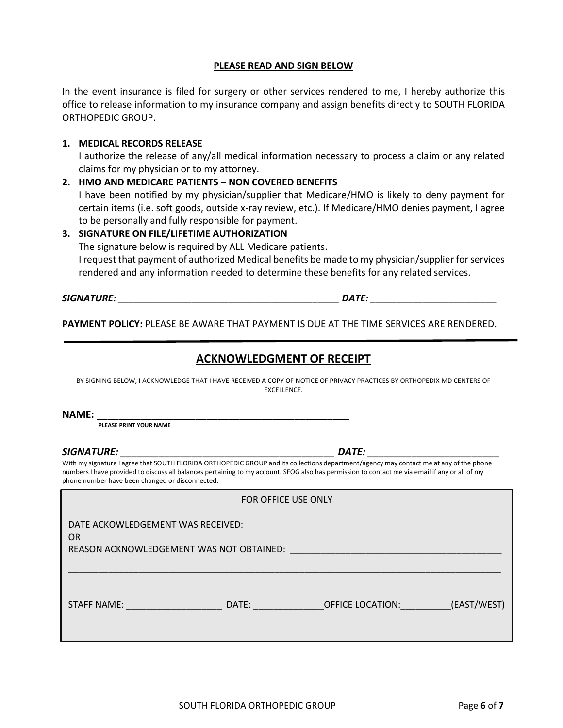#### **PLEASE READ AND SIGN BELOW**

In the event insurance is filed for surgery or other services rendered to me, I hereby authorize this office to release information to my insurance company and assign benefits directly to SOUTH FLORIDA ORTHOPEDIC GROUP.

#### **1. MEDICAL RECORDS RELEASE**

I authorize the release of any/all medical information necessary to process a claim or any related claims for my physician or to my attorney.

#### **2. HMO AND MEDICARE PATIENTS – NON COVERED BENEFITS**

I have been notified by my physician/supplier that Medicare/HMO is likely to deny payment for certain items (i.e. soft goods, outside x-ray review, etc.). If Medicare/HMO denies payment, I agree to be personally and fully responsible for payment.

### **3. SIGNATURE ON FILE/LIFETIME AUTHORIZATION**

The signature below is required by ALL Medicare patients.

I request that payment of authorized Medical benefits be made to my physician/supplier for services rendered and any information needed to determine these benefits for any related services.

*SIGNATURE: \_\_\_\_\_\_\_\_\_\_\_\_\_\_\_\_\_\_\_\_\_\_\_\_\_\_\_\_\_\_\_\_\_\_\_\_\_\_\_\_\_\_ DATE: \_\_\_\_\_\_\_\_\_\_\_\_\_\_\_\_\_\_\_\_\_\_\_\_*

**PAYMENT POLICY:** PLEASE BE AWARE THAT PAYMENT IS DUE AT THE TIME SERVICES ARE RENDERED.

## **ACKNOWLEDGMENT OF RECEIPT**

BY SIGNING BELOW, I ACKNOWLEDGE THAT I HAVE RECEIVED A COPY OF NOTICE OF PRIVACY PRACTICES BY ORTHOPEDIX MD CENTERS OF EXCELLENCE.

**NAME:** \_\_\_\_\_\_\_\_\_\_\_\_\_\_\_\_\_\_\_\_\_\_\_\_\_\_\_\_\_\_\_\_\_\_\_\_\_\_\_\_\_\_\_\_\_\_

**PLEASE PRINT YOUR NAME** 

#### *SIGNATURE: \_\_\_\_\_\_\_\_\_\_\_\_\_\_\_\_\_\_\_\_\_\_\_\_\_\_\_\_\_\_\_\_\_\_\_\_\_\_\_ DATE: \_\_\_\_\_\_\_\_\_\_\_\_\_\_\_\_\_\_\_\_\_\_\_\_*

With my signature I agree that SOUTH FLORIDA ORTHOPEDIC GROUP and its collections department/agency may contact me at any of the phone numbers I have provided to discuss all balances pertaining to my account. SFOG also has permission to contact me via email if any or all of my phone number have been changed or disconnected.

| FOR OFFICE USE ONLY                                                                        |       |                                                                                                |             |  |  |
|--------------------------------------------------------------------------------------------|-------|------------------------------------------------------------------------------------------------|-------------|--|--|
| DATE ACKOWLEDGEMENT WAS RECEIVED:<br><b>OR</b><br>REASON ACKNOWLEDGEMENT WAS NOT OBTAINED: |       | and the state of the state of the state of the state of the state of the state of the state of |             |  |  |
| STAFF NAME:                                                                                | DATE: | OFFICE LOCATION:                                                                               | (EAST/WEST) |  |  |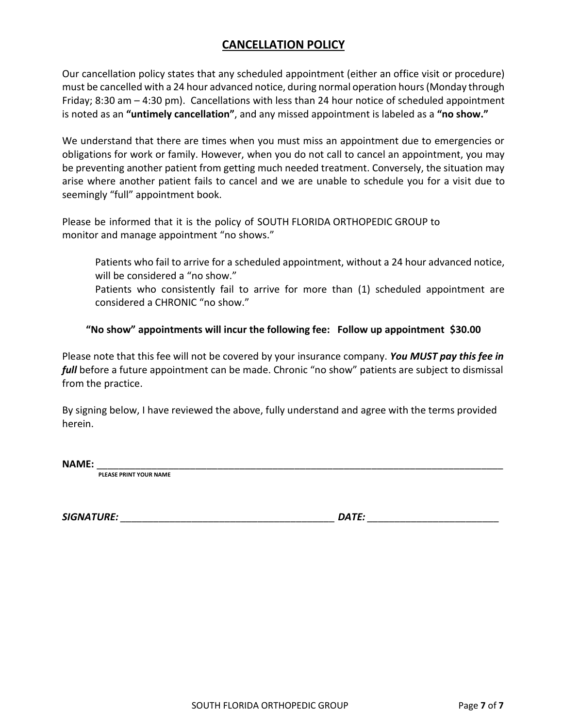# **CANCELLATION POLICY**

Our cancellation policy states that any scheduled appointment (either an office visit or procedure) must be cancelled with a 24 hour advanced notice, during normal operation hours (Monday through Friday; 8:30 am – 4:30 pm). Cancellations with less than 24 hour notice of scheduled appointment is noted as an **"untimely cancellation"**, and any missed appointment is labeled as a **"no show."**

We understand that there are times when you must miss an appointment due to emergencies or obligations for work or family. However, when you do not call to cancel an appointment, you may be preventing another patient from getting much needed treatment. Conversely, the situation may arise where another patient fails to cancel and we are unable to schedule you for a visit due to seemingly "full" appointment book.

Please be informed that it is the policy of SOUTH FLORIDA ORTHOPEDIC GROUP to monitor and manage appointment "no shows."

Patients who fail to arrive for a scheduled appointment, without a 24 hour advanced notice, will be considered a "no show."

Patients who consistently fail to arrive for more than (1) scheduled appointment are considered a CHRONIC "no show."

### **"No show" appointments will incur the following fee: Follow up appointment \$30.00**

Please note that this fee will not be covered by your insurance company. *You MUST pay this fee in full* before a future appointment can be made. Chronic "no show" patients are subject to dismissal from the practice.

By signing below, I have reviewed the above, fully understand and agree with the terms provided herein.

**NAME:** \_\_\_\_\_\_\_\_\_\_\_\_\_\_\_\_\_\_\_\_\_\_\_\_\_\_\_\_\_\_\_\_\_\_\_\_\_\_\_\_\_\_\_\_\_\_\_\_\_\_\_\_\_\_\_\_\_\_\_\_\_\_\_\_\_\_\_\_\_\_\_\_\_\_

**PLEASE PRINT YOUR NAME** 

*SIGNATURE: \_\_\_\_\_\_\_\_\_\_\_\_\_\_\_\_\_\_\_\_\_\_\_\_\_\_\_\_\_\_\_\_\_\_\_\_\_\_\_ DATE: \_\_\_\_\_\_\_\_\_\_\_\_\_\_\_\_\_\_\_\_\_\_\_\_*